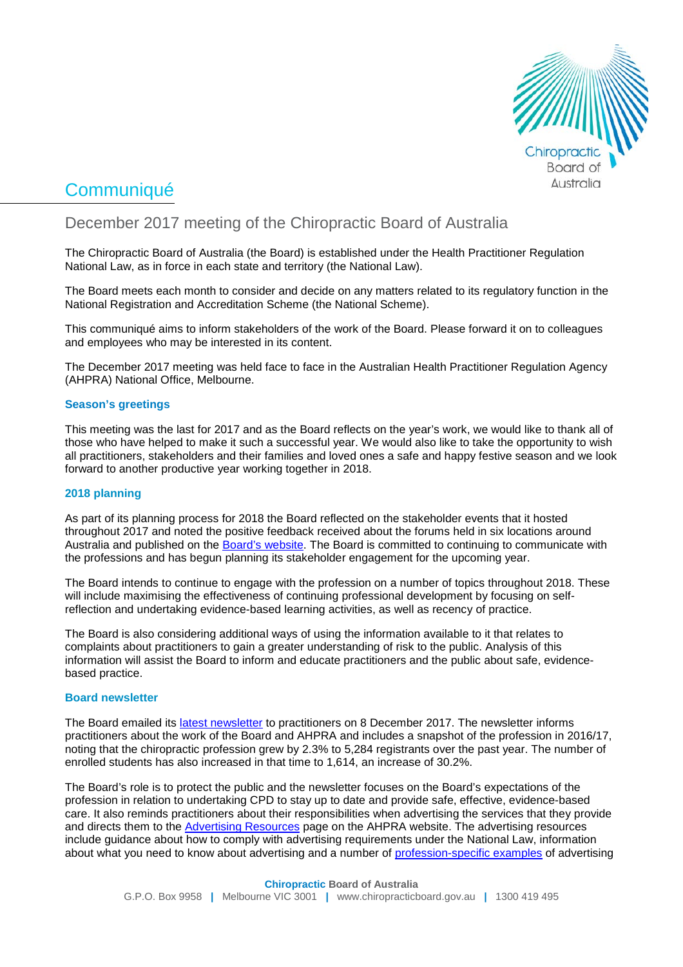

# **Communiqué**

# December 2017 meeting of the Chiropractic Board of Australia

The Chiropractic Board of Australia (the Board) is established under the Health Practitioner Regulation National Law, as in force in each state and territory (the National Law).

The Board meets each month to consider and decide on any matters related to its regulatory function in the National Registration and Accreditation Scheme (the National Scheme).

This communiqué aims to inform stakeholders of the work of the Board. Please forward it on to colleagues and employees who may be interested in its content.

The December 2017 meeting was held face to face in the Australian Health Practitioner Regulation Agency (AHPRA) National Office, Melbourne.

## **Season's greetings**

This meeting was the last for 2017 and as the Board reflects on the year's work, we would like to thank all of those who have helped to make it such a successful year. We would also like to take the opportunity to wish all practitioners, stakeholders and their families and loved ones a safe and happy festive season and we look forward to another productive year working together in 2018.

# **2018 planning**

As part of its planning process for 2018 the Board reflected on the stakeholder events that it hosted throughout 2017 and noted the positive feedback received about the forums held in six locations around Australia and published on the [Board's website.](http://www.chiropracticboard.gov.au/News/2017-11-30-presentations.aspx) The Board is committed to continuing to communicate with the professions and has begun planning its stakeholder engagement for the upcoming year.

The Board intends to continue to engage with the profession on a number of topics throughout 2018. These will include maximising the effectiveness of continuing professional development by focusing on selfreflection and undertaking evidence-based learning activities, as well as recency of practice.

The Board is also considering additional ways of using the information available to it that relates to complaints about practitioners to gain a greater understanding of risk to the public. Analysis of this information will assist the Board to inform and educate practitioners and the public about safe, evidencebased practice.

#### **Board newsletter**

The Board emailed its [latest newsletter](http://www.chiropracticboard.gov.au/News/Newsletters/December-2017.aspx) to practitioners on 8 December 2017. The newsletter informs practitioners about the work of the Board and AHPRA and includes a snapshot of the profession in 2016/17, noting that the chiropractic profession grew by 2.3% to 5,284 registrants over the past year. The number of enrolled students has also increased in that time to 1,614, an increase of 30.2%.

The Board's role is to protect the public and the newsletter focuses on the Board's expectations of the profession in relation to undertaking CPD to stay up to date and provide safe, effective, evidence-based care. It also reminds practitioners about their responsibilities when advertising the services that they provide and directs them to the **Advertising Resources** page on the AHPRA website. The advertising resources include guidance about how to comply with advertising requirements under the National Law, information about what you need to know about advertising and a number of [profession-specific examples](http://www.ahpra.gov.au/Publications/Advertising-resources/Check-and-correct/Chiropractic-examples.aspx) of advertising